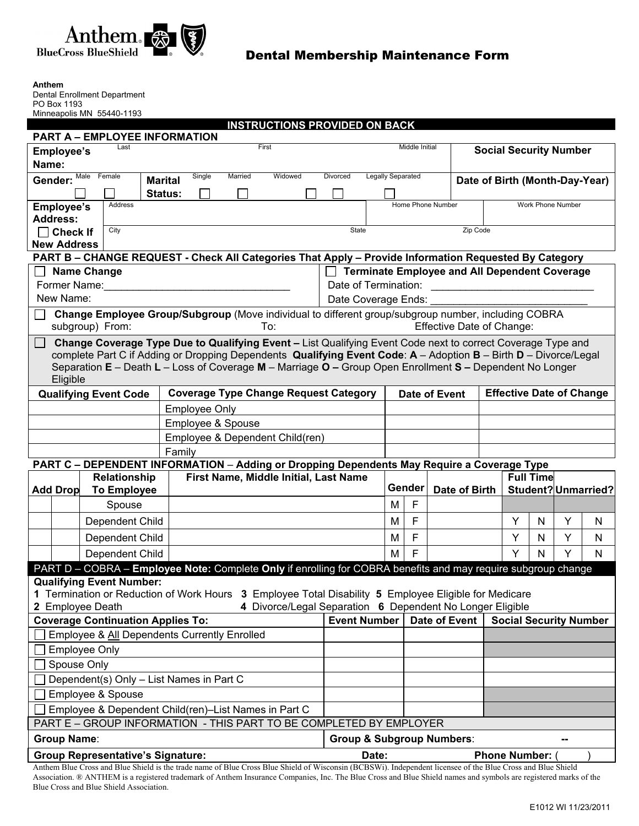

| Anthem<br>Dental Enrollment Department                                                                                                                                                                                                                                                                                                                            |                 |                                                                                                                                          |                      |          |                                                           |                                      |                                             |                   |  |                                 |                   |                     |   |   |  |
|-------------------------------------------------------------------------------------------------------------------------------------------------------------------------------------------------------------------------------------------------------------------------------------------------------------------------------------------------------------------|-----------------|------------------------------------------------------------------------------------------------------------------------------------------|----------------------|----------|-----------------------------------------------------------|--------------------------------------|---------------------------------------------|-------------------|--|---------------------------------|-------------------|---------------------|---|---|--|
| PO Box 1193<br>Minneapolis MN 55440-1193                                                                                                                                                                                                                                                                                                                          |                 |                                                                                                                                          |                      |          |                                                           |                                      |                                             |                   |  |                                 |                   |                     |   |   |  |
| <b>INSTRUCTIONS PROVIDED ON BACK</b>                                                                                                                                                                                                                                                                                                                              |                 |                                                                                                                                          |                      |          |                                                           |                                      |                                             |                   |  |                                 |                   |                     |   |   |  |
|                                                                                                                                                                                                                                                                                                                                                                   |                 | <b>PART A - EMPLOYEE INFORMATION</b>                                                                                                     |                      |          |                                                           |                                      |                                             |                   |  |                                 |                   |                     |   |   |  |
| Last<br>First<br><b>Employee's</b>                                                                                                                                                                                                                                                                                                                                |                 |                                                                                                                                          |                      |          |                                                           |                                      | Middle Initial                              |                   |  | <b>Social Security Number</b>   |                   |                     |   |   |  |
| Name:                                                                                                                                                                                                                                                                                                                                                             |                 |                                                                                                                                          |                      |          |                                                           |                                      |                                             |                   |  |                                 |                   |                     |   |   |  |
| Male<br>Female<br>Single<br>Married<br>Widowed<br>Divorced<br>Gender:<br><b>Marital</b>                                                                                                                                                                                                                                                                           |                 |                                                                                                                                          |                      |          |                                                           |                                      | Legally Separated                           |                   |  | Date of Birth (Month-Day-Year)  |                   |                     |   |   |  |
|                                                                                                                                                                                                                                                                                                                                                                   |                 |                                                                                                                                          | Status:              |          |                                                           |                                      |                                             |                   |  |                                 |                   |                     |   |   |  |
| <b>Employee's</b><br><b>Address:</b>                                                                                                                                                                                                                                                                                                                              |                 | Address                                                                                                                                  |                      |          |                                                           |                                      |                                             | Home Phone Number |  |                                 | Work Phone Number |                     |   |   |  |
|                                                                                                                                                                                                                                                                                                                                                                   | <b>Check If</b> | City                                                                                                                                     | State                | Zip Code |                                                           |                                      |                                             |                   |  |                                 |                   |                     |   |   |  |
| <b>New Address</b>                                                                                                                                                                                                                                                                                                                                                |                 |                                                                                                                                          |                      |          |                                                           |                                      |                                             |                   |  |                                 |                   |                     |   |   |  |
|                                                                                                                                                                                                                                                                                                                                                                   |                 | PART B - CHANGE REQUEST - Check All Categories That Apply - Provide Information Requested By Category                                    |                      |          |                                                           |                                      |                                             |                   |  |                                 |                   |                     |   |   |  |
| <b>Terminate Employee and All Dependent Coverage</b><br><b>Name Change</b>                                                                                                                                                                                                                                                                                        |                 |                                                                                                                                          |                      |          |                                                           |                                      |                                             |                   |  |                                 |                   |                     |   |   |  |
| Former Name:                                                                                                                                                                                                                                                                                                                                                      |                 |                                                                                                                                          |                      |          |                                                           |                                      | Date of Termination:                        |                   |  |                                 |                   |                     |   |   |  |
| New Name:                                                                                                                                                                                                                                                                                                                                                         |                 |                                                                                                                                          |                      |          |                                                           |                                      | Date Coverage Ends:                         |                   |  |                                 |                   |                     |   |   |  |
| Change Employee Group/Subgroup (Move individual to different group/subgroup number, including COBRA<br><b>Effective Date of Change:</b><br>subgroup) From:<br>To:                                                                                                                                                                                                 |                 |                                                                                                                                          |                      |          |                                                           |                                      |                                             |                   |  |                                 |                   |                     |   |   |  |
|                                                                                                                                                                                                                                                                                                                                                                   |                 |                                                                                                                                          |                      |          |                                                           |                                      |                                             |                   |  |                                 |                   |                     |   |   |  |
| Change Coverage Type Due to Qualifying Event - List Qualifying Event Code next to correct Coverage Type and<br>$\Box$<br>complete Part C if Adding or Dropping Dependents Qualifying Event Code: A - Adoption B - Birth D - Divorce/Legal<br>Separation E - Death L - Loss of Coverage M - Marriage O - Group Open Enrollment S - Dependent No Longer<br>Eligible |                 |                                                                                                                                          |                      |          |                                                           |                                      |                                             |                   |  |                                 |                   |                     |   |   |  |
| <b>Coverage Type Change Request Category</b><br><b>Qualifying Event Code</b>                                                                                                                                                                                                                                                                                      |                 |                                                                                                                                          |                      |          |                                                           |                                      | <b>Date of Event</b>                        |                   |  | <b>Effective Date of Change</b> |                   |                     |   |   |  |
|                                                                                                                                                                                                                                                                                                                                                                   |                 |                                                                                                                                          | <b>Employee Only</b> |          |                                                           |                                      |                                             |                   |  |                                 |                   |                     |   |   |  |
| Employee & Spouse                                                                                                                                                                                                                                                                                                                                                 |                 |                                                                                                                                          |                      |          |                                                           |                                      |                                             |                   |  |                                 |                   |                     |   |   |  |
|                                                                                                                                                                                                                                                                                                                                                                   |                 |                                                                                                                                          |                      |          |                                                           |                                      |                                             |                   |  |                                 |                   |                     |   |   |  |
| Employee & Dependent Child(ren)<br>Family                                                                                                                                                                                                                                                                                                                         |                 |                                                                                                                                          |                      |          |                                                           |                                      |                                             |                   |  |                                 |                   |                     |   |   |  |
|                                                                                                                                                                                                                                                                                                                                                                   |                 |                                                                                                                                          |                      |          |                                                           |                                      |                                             |                   |  |                                 |                   |                     |   |   |  |
| PART C - DEPENDENT INFORMATION - Adding or Dropping Dependents May Require a Coverage Type<br>First Name, Middle Initial, Last Name<br>Relationship                                                                                                                                                                                                               |                 |                                                                                                                                          |                      |          |                                                           |                                      |                                             |                   |  |                                 | <b>Full Time</b>  |                     |   |   |  |
| <b>Add Drop</b>                                                                                                                                                                                                                                                                                                                                                   |                 | <b>To Employee</b>                                                                                                                       |                      |          |                                                           |                                      |                                             | Gender            |  | Date of Birth                   |                   | Student? Unmarried? |   |   |  |
|                                                                                                                                                                                                                                                                                                                                                                   |                 | Spouse                                                                                                                                   |                      |          |                                                           |                                      | м                                           | F                 |  |                                 |                   |                     |   |   |  |
|                                                                                                                                                                                                                                                                                                                                                                   |                 | Dependent Child                                                                                                                          |                      |          |                                                           |                                      | M                                           | F                 |  |                                 | Υ                 | N                   | Y | N |  |
|                                                                                                                                                                                                                                                                                                                                                                   |                 | Dependent Child                                                                                                                          |                      |          |                                                           |                                      | M                                           | F                 |  |                                 | Y                 | N                   | Y | N |  |
|                                                                                                                                                                                                                                                                                                                                                                   |                 | Dependent Child                                                                                                                          |                      |          |                                                           |                                      | М                                           | F                 |  |                                 | Y                 | N                   | Y | N |  |
|                                                                                                                                                                                                                                                                                                                                                                   |                 | PART D - COBRA - Employee Note: Complete Only if enrolling for COBRA benefits and may require subgroup change                            |                      |          |                                                           |                                      |                                             |                   |  |                                 |                   |                     |   |   |  |
|                                                                                                                                                                                                                                                                                                                                                                   |                 | <b>Qualifying Event Number:</b><br>1 Termination or Reduction of Work Hours 3 Employee Total Disability 5 Employee Eligible for Medicare |                      |          | 4 Divorce/Legal Separation 6 Dependent No Longer Eligible |                                      |                                             |                   |  |                                 |                   |                     |   |   |  |
| 2 Employee Death<br><b>Coverage Continuation Applies To:</b>                                                                                                                                                                                                                                                                                                      |                 |                                                                                                                                          |                      |          |                                                           |                                      | <b>Event Number</b><br><b>Date of Event</b> |                   |  | <b>Social Security Number</b>   |                   |                     |   |   |  |
| Employee & All Dependents Currently Enrolled                                                                                                                                                                                                                                                                                                                      |                 |                                                                                                                                          |                      |          |                                                           |                                      |                                             |                   |  |                                 |                   |                     |   |   |  |
| <b>Employee Only</b>                                                                                                                                                                                                                                                                                                                                              |                 |                                                                                                                                          |                      |          |                                                           |                                      |                                             |                   |  |                                 |                   |                     |   |   |  |
| Spouse Only                                                                                                                                                                                                                                                                                                                                                       |                 |                                                                                                                                          |                      |          |                                                           |                                      |                                             |                   |  |                                 |                   |                     |   |   |  |
|                                                                                                                                                                                                                                                                                                                                                                   |                 |                                                                                                                                          |                      |          |                                                           |                                      |                                             |                   |  |                                 |                   |                     |   |   |  |
| Dependent(s) Only - List Names in Part C                                                                                                                                                                                                                                                                                                                          |                 |                                                                                                                                          |                      |          |                                                           |                                      |                                             |                   |  |                                 |                   |                     |   |   |  |
| Employee & Spouse                                                                                                                                                                                                                                                                                                                                                 |                 |                                                                                                                                          |                      |          |                                                           |                                      |                                             |                   |  |                                 |                   |                     |   |   |  |
| Employee & Dependent Child(ren)-List Names in Part C                                                                                                                                                                                                                                                                                                              |                 |                                                                                                                                          |                      |          |                                                           |                                      |                                             |                   |  |                                 |                   |                     |   |   |  |
| PART E - GROUP INFORMATION - THIS PART TO BE COMPLETED BY EMPLOYER                                                                                                                                                                                                                                                                                                |                 |                                                                                                                                          |                      |          |                                                           |                                      |                                             |                   |  |                                 |                   |                     |   |   |  |
| <b>Group Name:</b>                                                                                                                                                                                                                                                                                                                                                |                 |                                                                                                                                          |                      |          |                                                           | <b>Group &amp; Subgroup Numbers:</b> |                                             |                   |  |                                 |                   |                     |   |   |  |
| <b>Group Representative's Signature:</b>                                                                                                                                                                                                                                                                                                                          |                 |                                                                                                                                          |                      |          | <b>Phone Number:</b><br>Date:                             |                                      |                                             |                   |  |                                 |                   |                     |   |   |  |

Anthem Blue Cross and Blue Shield is the trade name of Blue Cross Blue Shield of Wisconsin (BCBSWi). Independent licensee of the Blue Cross and Blue Shield Association. ® ANTHEM is a registered trademark of Anthem Insurance Companies, Inc. The Blue Cross and Blue Shield names and symbols are registered marks of the Blue Cross and Blue Shield Association.